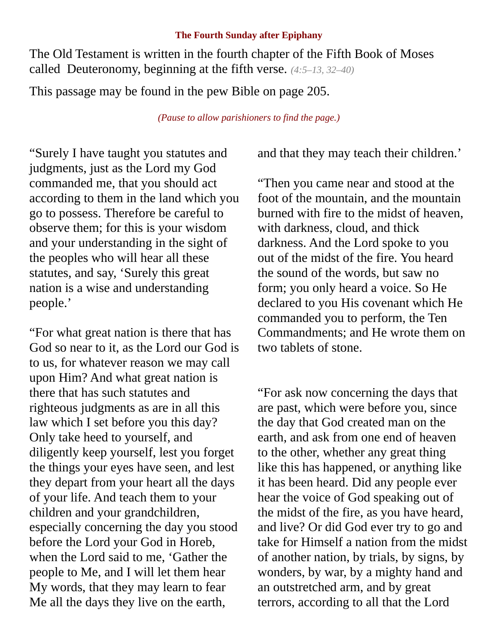#### **The Fourth Sunday after Epiphany**

The Old Testament is written in the fourth chapter of the Fifth Book of Moses called Deuteronomy, beginning at the fifth verse. *(4:5–13, 32–40)*

This passage may be found in the pew Bible on page 205.

*(Pause to allow parishioners to find the page.)*

"Surely I have taught you statutes and judgments, just as the Lord my God commanded me, that you should act according to them in the land which you go to possess. Therefore be careful to observe them; for this is your wisdom and your understanding in the sight of the peoples who will hear all these statutes, and say, 'Surely this great nation is a wise and understanding people.'

"For what great nation is there that has God so near to it, as the Lord our God is to us, for whatever reason we may call upon Him? And what great nation is there that has such statutes and righteous judgments as are in all this law which I set before you this day? Only take heed to yourself, and diligently keep yourself, lest you forget the things your eyes have seen, and lest they depart from your heart all the days of your life. And teach them to your children and your grandchildren, especially concerning the day you stood before the Lord your God in Horeb, when the Lord said to me, 'Gather the people to Me, and I will let them hear My words, that they may learn to fear Me all the days they live on the earth,

and that they may teach their children.'

"Then you came near and stood at the foot of the mountain, and the mountain burned with fire to the midst of heaven, with darkness, cloud, and thick darkness. And the Lord spoke to you out of the midst of the fire. You heard the sound of the words, but saw no form; you only heard a voice. So He declared to you His covenant which He commanded you to perform, the Ten Commandments; and He wrote them on two tablets of stone.

"For ask now concerning the days that are past, which were before you, since the day that God created man on the earth, and ask from one end of heaven to the other, whether any great thing like this has happened, or anything like it has been heard. Did any people ever hear the voice of God speaking out of the midst of the fire, as you have heard, and live? Or did God ever try to go and take for Himself a nation from the midst of another nation, by trials, by signs, by wonders, by war, by a mighty hand and an outstretched arm, and by great terrors, according to all that the Lord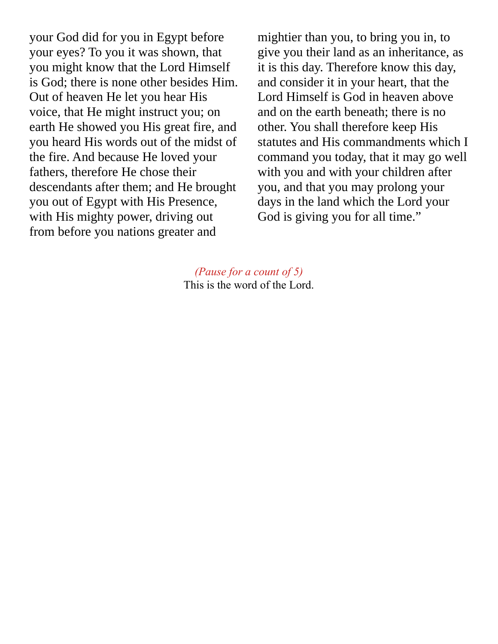your God did for you in Egypt before your eyes? To you it was shown, that you might know that the Lord Himself is God; there is none other besides Him. Out of heaven He let you hear His voice, that He might instruct you; on earth He showed you His great fire, and you heard His words out of the midst of the fire. And because He loved your fathers, therefore He chose their descendants after them; and He brought you out of Egypt with His Presence, with His mighty power, driving out from before you nations greater and

mightier than you, to bring you in, to give you their land as an inheritance, as it is this day. Therefore know this day, and consider it in your heart, that the Lord Himself is God in heaven above and on the earth beneath; there is no other. You shall therefore keep His statutes and His commandments which I command you today, that it may go well with you and with your children after you, and that you may prolong your days in the land which the Lord your God is giving you for all time."

*(Pause for a count of 5)* This is the word of the Lord.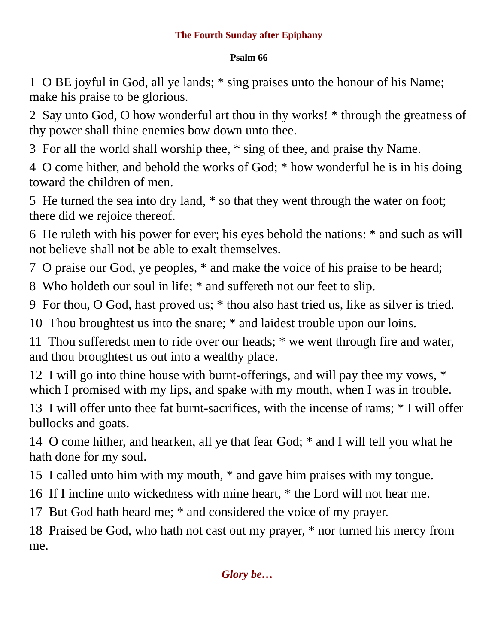## **The Fourth Sunday after Epiphany**

### **Psalm 66**

1 O BE joyful in God, all ye lands; \* sing praises unto the honour of his Name; make his praise to be glorious.

2 Say unto God, O how wonderful art thou in thy works! \* through the greatness of thy power shall thine enemies bow down unto thee.

3 For all the world shall worship thee, \* sing of thee, and praise thy Name.

4 O come hither, and behold the works of God; \* how wonderful he is in his doing toward the children of men.

5 He turned the sea into dry land, \* so that they went through the water on foot; there did we rejoice thereof.

6 He ruleth with his power for ever; his eyes behold the nations: \* and such as will not believe shall not be able to exalt themselves.

7 O praise our God, ye peoples, \* and make the voice of his praise to be heard;

8 Who holdeth our soul in life; \* and suffereth not our feet to slip.

9 For thou, O God, hast proved us; \* thou also hast tried us, like as silver is tried.

10 Thou broughtest us into the snare; \* and laidest trouble upon our loins.

11 Thou sufferedst men to ride over our heads; \* we went through fire and water, and thou broughtest us out into a wealthy place.

12 I will go into thine house with burnt-offerings, and will pay thee my vows, \* which I promised with my lips, and spake with my mouth, when I was in trouble.

13 I will offer unto thee fat burnt-sacrifices, with the incense of rams; \* I will offer bullocks and goats.

14 O come hither, and hearken, all ye that fear God; \* and I will tell you what he hath done for my soul.

15 I called unto him with my mouth, \* and gave him praises with my tongue.

16 If I incline unto wickedness with mine heart, \* the Lord will not hear me.

17 But God hath heard me; \* and considered the voice of my prayer.

18 Praised be God, who hath not cast out my prayer, \* nor turned his mercy from me.

# *Glory be…*